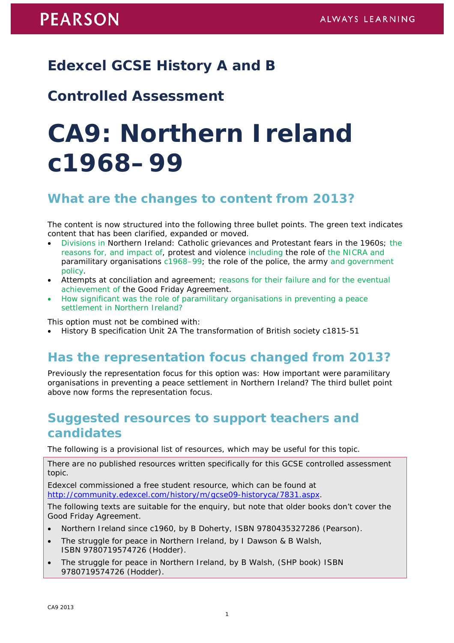# **Edexcel GCSE History A and B**

## **Controlled Assessment**

# **CA9: Northern Ireland c1968–99**

#### **What are the changes to content from 2013?**

The content is now structured into the following three bullet points. The green text indicates content that has been clarified, expanded or moved.

- Divisions in Northern Ireland: Catholic grievances and Protestant fears in the 1960s; the reasons for, and impact of, protest and violence including the role of the NICRA and paramilitary organisations c1968–99; the role of the police, the army and government policy.
- Attempts at conciliation and agreement; reasons for their failure and for the eventual achievement of the Good Friday Agreement.
- How significant was the role of paramilitary organisations in preventing a peace settlement in Northern Ireland?

This option must not be combined with:

• History B specification Unit 2A The transformation of British society c1815-51

### **Has the representation focus changed from 2013?**

Previously the representation focus for this option was: How important were paramilitary organisations in preventing a peace settlement in Northern Ireland? The third bullet point above now forms the representation focus.

#### **Suggested resources to support teachers and candidates**

The following is a provisional list of resources, which may be useful for this topic.

There are no published resources written specifically for this GCSE controlled assessment topic.

Edexcel commissioned a free student resource, which can be found at [http://community.edexcel.com/history/m/gcse09-historyca/7831.aspx.](http://community.edexcel.com/history/m/gcse09-historyca/7831.aspx)

The following texts are suitable for the enquiry, but note that older books don't cover the Good Friday Agreement.

- *Northern Ireland since c1960*, by B Doherty, ISBN 9780435327286 (Pearson).
- The struggle for peace in Northern Ireland, by I Dawson & B Walsh, ISBN 9780719574726 (Hodder).
- *The struggle for peace in Northern Ireland*, by B Walsh, (SHP book) ISBN 9780719574726 (Hodder).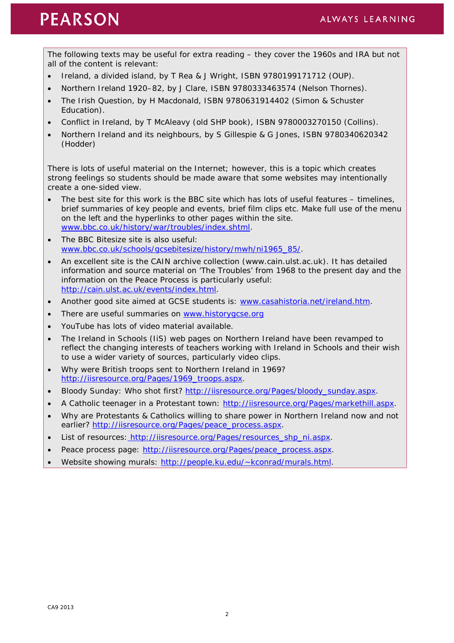# **PEARSON**

The following texts may be useful for extra reading – they cover the 1960s and IRA but not all of the content is relevant:

- *Ireland, a divided island*, by T Rea & J Wright, ISBN 9780199171712 (OUP).
- *Northern Ireland 1920–82*, by J Clare, ISBN 9780333463574 (Nelson Thornes).
- *The Irish Question*, by H Macdonald, ISBN 9780631914402 (Simon & Schuster Education).
- *Conflict in Ireland*, by T McAleavy (old SHP book), ISBN 9780003270150 (Collins).
- *Northern Ireland and its neighbours*, by S Gillespie & G Jones, ISBN 9780340620342 (Hodder)

There is lots of useful material on the Internet; however, this is a topic which creates strong feelings so students should be made aware that some websites may intentionally create a one-sided view.

- The best site for this work is the BBC site which has lots of useful features timelines, brief summaries of key people and events, brief film clips etc. Make full use of the menu on the left and the hyperlinks to other pages within the site. [www.bbc.co.uk/history/war/troubles/index.shtml.](http://www.bbc.co.uk/history/war/troubles/index.shtml)
- The BBC Bitesize site is also useful: [www.bbc.co.uk/schools/gcsebitesize/history/mwh/ni1965\\_85/.](http://www.bbc.co.uk/schools/gcsebitesize/history/mwh/ni1965_85/)
- An excellent site is the CAIN archive collection (www.cain.ulst.ac.uk). It has detailed information and source material on 'The Troubles' from 1968 to the present day and the information on the Peace Process is particularly useful: [http://cain.ulst.ac.uk/events/index.html.](http://cain.ulst.ac.uk/events/index.html)
- Another good site aimed at GCSE students is: [www.casahistoria.net/ireland.htm.](http://www.casahistoria.net/ireland.htm)
- There are useful summaries on [www.historygcse.org](http://www.historygcse.org/)
- YouTube has lots of video material available.
- The Ireland in Schools (IiS) web pages on Northern Ireland have been revamped to reflect the changing interests of teachers working with Ireland in Schools and their wish to use a wider variety of sources, particularly video clips.
- Why were British troops sent to Northern Ireland in 1969? [http://iisresource.org/Pages/1969\\_troops.aspx.](http://iisresource.org/Pages/1969_troops.aspx)
- Bloody Sunday: Who shot first? [http://iisresource.org/Pages/bloody\\_sunday.aspx.](http://iisresource.org/Pages/bloody_sunday.aspx)
- A Catholic teenager in a Protestant town: [http://iisresource.org/Pages/markethill.aspx.](http://iisresource.org/Pages/markethill.aspx)
- Why are Protestants & Catholics willing to share power in Northern Ireland now and not earlier? [http://iisresource.org/Pages/peace\\_process.aspx.](http://iisresource.org/Pages/peace_process.aspx)
- List of resources: [http://iisresource.org/Pages/resources\\_shp\\_ni.aspx.](http://iisresource.org/Pages/resources_shp_ni.aspx)
- Peace process page: [http://iisresource.org/Pages/peace\\_process.aspx.](http://iisresource.org/Pages/peace_process.aspx)
- Website showing murals: [http://people.ku.edu/~kconrad/murals.html.](http://people.ku.edu/%7Ekconrad/murals.html)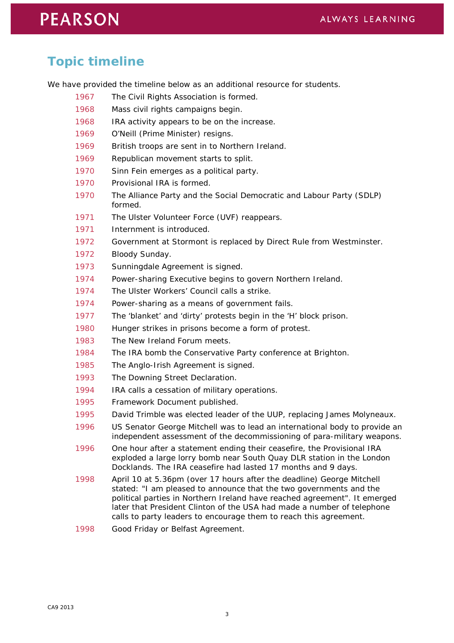# **PEARSON**

## **Topic timeline**

We have provided the timeline below as an additional resource for students.

- 1967 The Civil Rights Association is formed.
- Mass civil rights campaigns begin.
- IRA activity appears to be on the increase.
- O'Neill (Prime Minister) resigns.
- British troops are sent in to Northern Ireland.
- Republican movement starts to split.
- Sinn Fein emerges as a political party.
- Provisional IRA is formed.
- The Alliance Party and the Social Democratic and Labour Party (SDLP) formed.
- The Ulster Volunteer Force (UVF) reappears.
- Internment is introduced.
- Government at Stormont is replaced by Direct Rule from Westminster.
- Bloody Sunday.
- Sunningdale Agreement is signed.
- Power-sharing Executive begins to govern Northern Ireland.
- The Ulster Workers' Council calls a strike.
- Power-sharing as a means of government fails.
- The 'blanket' and 'dirty' protests begin in the 'H' block prison.
- Hunger strikes in prisons become a form of protest.
- The New Ireland Forum meets.
- The IRA bomb the Conservative Party conference at Brighton.
- The Anglo-Irish Agreement is signed.
- The Downing Street Declaration.
- IRA calls a cessation of military operations.
- Framework Document published.
- 1995 David Trimble was elected leader of the UUP, replacing James Molyneaux.
- US Senator George Mitchell was to lead an international body to provide an independent assessment of the decommissioning of para-military weapons.
- One hour after a statement ending their ceasefire, the Provisional IRA exploded a large lorry bomb near South Quay DLR station in the London Docklands. The IRA ceasefire had lasted 17 months and 9 days.
- April 10 at 5.36pm (over 17 hours after the deadline) George Mitchell stated: "I am pleased to announce that the two governments and the political parties in Northern Ireland have reached agreement". It emerged later that President Clinton of the USA had made a number of telephone calls to party leaders to encourage them to reach this agreement.
- Good Friday or Belfast Agreement.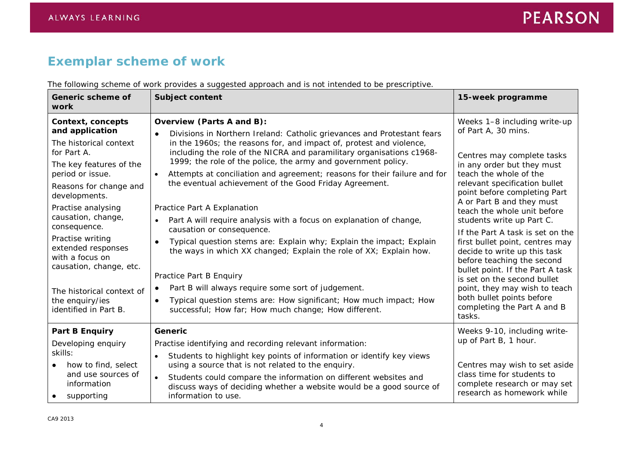# **Exemplar scheme of work**

| The following scheme of work provides a suggested approach and is not intended to be prescriptive. |  |
|----------------------------------------------------------------------------------------------------|--|
|                                                                                                    |  |

| Generic scheme of<br>work                                                                                                                                                                                                 | <b>Subject content</b>                                                                                                                                                                                                                                                                                                                                                                                                                                                                                                | 15-week programme                                                                                                                                                                                                                                                                                                                                                       |
|---------------------------------------------------------------------------------------------------------------------------------------------------------------------------------------------------------------------------|-----------------------------------------------------------------------------------------------------------------------------------------------------------------------------------------------------------------------------------------------------------------------------------------------------------------------------------------------------------------------------------------------------------------------------------------------------------------------------------------------------------------------|-------------------------------------------------------------------------------------------------------------------------------------------------------------------------------------------------------------------------------------------------------------------------------------------------------------------------------------------------------------------------|
| Context, concepts<br>and application<br>The historical context<br>for Part A.<br>The key features of the<br>period or issue.<br>Reasons for change and<br>developments.                                                   | Overview (Parts A and B):<br>Divisions in Northern Ireland: Catholic grievances and Protestant fears<br>$\bullet$<br>in the 1960s; the reasons for, and impact of, protest and violence,<br>including the role of the NICRA and paramilitary organisations c1968-<br>1999; the role of the police, the army and government policy.<br>Attempts at conciliation and agreement; reasons for their failure and for<br>the eventual achievement of the Good Friday Agreement.                                             | Weeks 1-8 including write-up<br>of Part A, 30 mins.<br>Centres may complete tasks<br>in any order but they must<br>teach the whole of the<br>relevant specification bullet<br>point before completing Part<br>A or Part B and they must                                                                                                                                 |
| Practise analysing<br>causation, change,<br>consequence.<br>Practise writing<br>extended responses<br>with a focus on<br>causation, change, etc.<br>The historical context of<br>the enquiry/ies<br>identified in Part B. | Practice Part A Explanation<br>Part A will require analysis with a focus on explanation of change,<br>causation or consequence.<br>Typical question stems are: Explain why; Explain the impact; Explain<br>$\bullet$<br>the ways in which XX changed; Explain the role of XX; Explain how.<br>Practice Part B Enquiry<br>Part B will always require some sort of judgement.<br>$\bullet$<br>Typical question stems are: How significant; How much impact; How<br>successful; How far; How much change; How different. | teach the whole unit before<br>students write up Part C.<br>If the Part A task is set on the<br>first bullet point, centres may<br>decide to write up this task<br>before teaching the second<br>bullet point. If the Part A task<br>is set on the second bullet<br>point, they may wish to teach<br>both bullet points before<br>completing the Part A and B<br>tasks. |
| <b>Part B Enquiry</b><br>Developing enquiry<br>skills:<br>how to find, select<br>and use sources of<br>information<br>supporting                                                                                          | <b>Generic</b><br>Practise identifying and recording relevant information:<br>Students to highlight key points of information or identify key views<br>$\bullet$<br>using a source that is not related to the enquiry.<br>Students could compare the information on different websites and<br>discuss ways of deciding whether a website would be a good source of<br>information to use.                                                                                                                             | Weeks 9-10, including write-<br>up of Part B, 1 hour.<br>Centres may wish to set aside<br>class time for students to<br>complete research or may set<br>research as homework while                                                                                                                                                                                      |